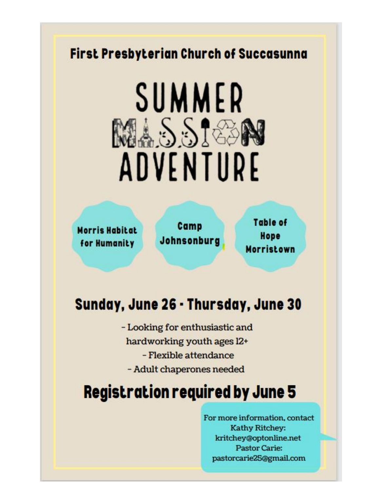#### First Presbyterian Church of Succasunna

# SUMMER MASSIGON ADVENTURE

**Morris Habitat** for Humanity

Camp Johnsonburg

Table of Hope **Morristown** 

### Sunday, June 26 - Thursday, June 30

- Looking for enthusiastic and hardworking youth ages 12+ - Flexible attendance - Adult chaperones needed

## **Registration required by June 5**

For more information, contact Kathy Ritchey: kritchey@optonline.net **Pastor Carie:** pastorcarie25@gmail.com